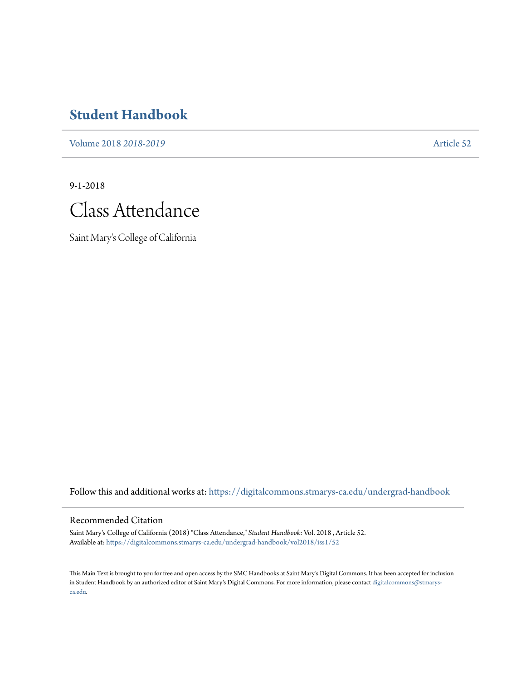# **[Student Handbook](https://digitalcommons.stmarys-ca.edu/undergrad-handbook?utm_source=digitalcommons.stmarys-ca.edu%2Fundergrad-handbook%2Fvol2018%2Fiss1%2F52&utm_medium=PDF&utm_campaign=PDFCoverPages)**

[Volume 2018](https://digitalcommons.stmarys-ca.edu/undergrad-handbook/vol2018?utm_source=digitalcommons.stmarys-ca.edu%2Fundergrad-handbook%2Fvol2018%2Fiss1%2F52&utm_medium=PDF&utm_campaign=PDFCoverPages) *2018-2019* [Article 52](https://digitalcommons.stmarys-ca.edu/undergrad-handbook/vol2018/iss1/52?utm_source=digitalcommons.stmarys-ca.edu%2Fundergrad-handbook%2Fvol2018%2Fiss1%2F52&utm_medium=PDF&utm_campaign=PDFCoverPages)

9-1-2018



Saint Mary's College of California

Follow this and additional works at: [https://digitalcommons.stmarys-ca.edu/undergrad-handbook](https://digitalcommons.stmarys-ca.edu/undergrad-handbook?utm_source=digitalcommons.stmarys-ca.edu%2Fundergrad-handbook%2Fvol2018%2Fiss1%2F52&utm_medium=PDF&utm_campaign=PDFCoverPages)

### Recommended Citation

Saint Mary's College of California (2018) "Class Attendance," *Student Handbook*: Vol. 2018 , Article 52. Available at: [https://digitalcommons.stmarys-ca.edu/undergrad-handbook/vol2018/iss1/52](https://digitalcommons.stmarys-ca.edu/undergrad-handbook/vol2018/iss1/52?utm_source=digitalcommons.stmarys-ca.edu%2Fundergrad-handbook%2Fvol2018%2Fiss1%2F52&utm_medium=PDF&utm_campaign=PDFCoverPages)

This Main Text is brought to you for free and open access by the SMC Handbooks at Saint Mary's Digital Commons. It has been accepted for inclusion in Student Handbook by an authorized editor of Saint Mary's Digital Commons. For more information, please contact [digitalcommons@stmarys](mailto:digitalcommons@stmarys-ca.edu)[ca.edu](mailto:digitalcommons@stmarys-ca.edu).